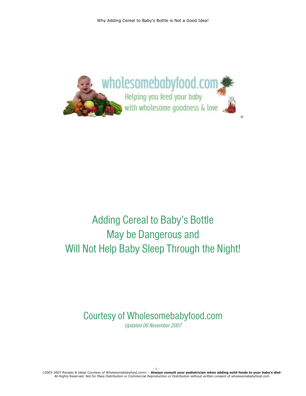

# Adding Cereal to Baby's Bottle May be Dangerous and Will Not Help Baby Sleep Through the Night!

# Courtesy of Wholesomebabyfood.com Updated 06 November 2007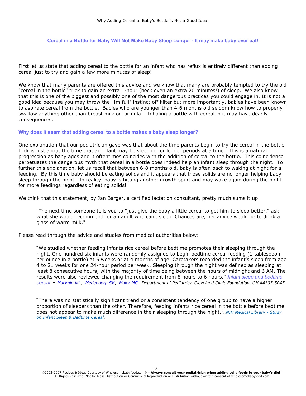Cereal in a Bottle for Baby Will Not Make Baby Sleep Longer - It may make baby over eat!

First let us state that adding cereal to the bottle for an infant who has reflux is entirely different than adding cereal just to try and gain a few more minutes of sleep!

We know that many parents are offered this advice and we know that many are probably tempted to try the old "cereal in the bottle" trick to gain an extra 1-hour (heck even an extra 20 minutes!) of sleep. We also know that this is one of the biggest and possibly one of the most dangerous practices you could engage in. It is not a good idea because you may throw the "Im full" instinct off kilter but more importantly, babies have been known to aspirate cereal from the bottle. Babies who are younger than 4-6 months old seldom know how to properly swallow anything other than breast milk or formula. Inhaling a bottle with cereal in it may have deadly consequences.

# **Why does it seem that adding cereal to a bottle makes a baby sleep longer?**

One explanation that our pediatrician gave was that about the time parents begin to try the cereal in the bottle trick is just about the time that an infant may be sleeping for longer periods at a time. This is a natural progression as baby ages and it oftentimes coincides with the addition of cereal to the bottle. This coincidence perpetuates the dangerous myth that cereal in a bottle does indeed help an infant sleep through the night. To further this explanation, let us recall that between 6-8 months old, baby is often back to waking at night for a feeding. By this time baby should be eating solids and it appears that those solids are no longer helping baby sleep through the night. In reality, baby is hitting another growth spurt and may wake again during the night for more feedings regardless of eating solids!

We think that this statement, by Jan Barger, a certified lactation consultant, pretty much sums it up

"The next time someone tells you to "just give the baby a little cereal to get him to sleep better," ask what she would recommend for an adult who can't sleep. Chances are, her advice would be to drink a glass of warm milk."

Please read through the advice and studies from medical authorities below:

"We studied whether feeding infants rice cereal before bedtime promotes their sleeping through the night. One hundred six infants were randomly assigned to begin bedtime cereal feeding (1 tablespoon per ounce in a bottle) at 5 weeks or at 4 months of age. Caretakers recorded the infant's sleep from age 4 to 21 weeks for one 24-hour period per week. Sleeping through the night was defined as sleeping at least 8 consecutive hours, with the majority of time being between the hours of midnight and 6 AM. The results were also reviewed changing the requirement from 8 hours to 6 hours." T*Infant sleep and bedtime cereal*TT <sup>T</sup>**-** HTU*Macknin ML*UTH*,* HTU*Medendorp SV*UTH*,* HTU*Maier MC*UTH. *Department of Pediatrics, Cleveland Clinic Foundation, OH 44195-5045.*

"There was no statistically significant trend or a consistent tendency of one group to have a higher proportion of sleepers than the other. Therefore, feeding infants rice cereal in the bottle before bedtime does not appear to make much difference in their sleeping through the night." NIH Medical Library - Study **on Infant Sleep & Bedtime Cereal.**